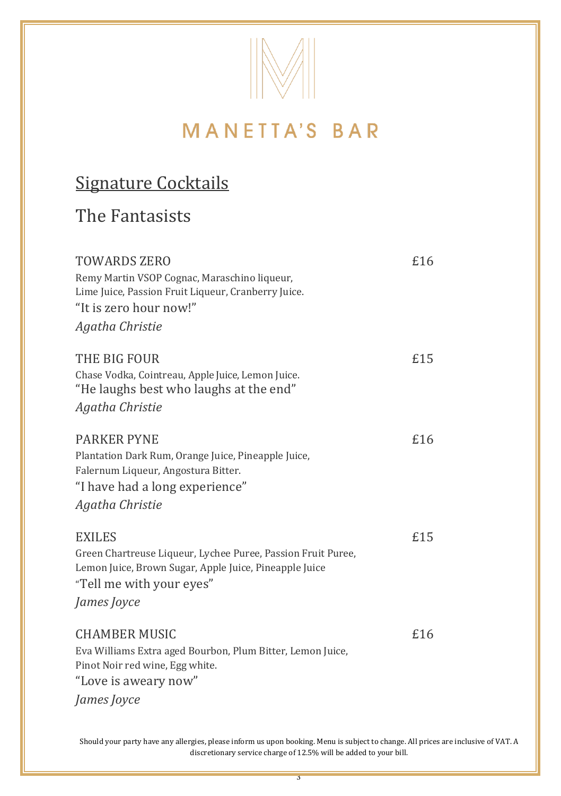

## Signature Cocktails

#### The Fantasists

| TOWARDS ZERO<br>Remy Martin VSOP Cognac, Maraschino liqueur,<br>Lime Juice, Passion Fruit Liqueur, Cranberry Juice.<br>"It is zero hour now!"<br>Agatha Christie                   | £16 |
|------------------------------------------------------------------------------------------------------------------------------------------------------------------------------------|-----|
| THE BIG FOUR<br>Chase Vodka, Cointreau, Apple Juice, Lemon Juice.<br>"He laughs best who laughs at the end"<br>Agatha Christie                                                     | £15 |
| <b>PARKER PYNE</b><br>Plantation Dark Rum, Orange Juice, Pineapple Juice,<br>Falernum Liqueur, Angostura Bitter.<br>"I have had a long experience"<br>Agatha Christie              | £16 |
| <b>EXILES</b><br>Green Chartreuse Liqueur, Lychee Puree, Passion Fruit Puree,<br>Lemon Juice, Brown Sugar, Apple Juice, Pineapple Juice<br>"Tell me with your eyes"<br>James Joyce | £15 |
| CHAMBER MUSIC<br>Eva Williams Extra aged Bourbon, Plum Bitter, Lemon Juice,<br>Pinot Noir red wine, Egg white.<br>"Love is aweary now"<br>James Joyce                              | £16 |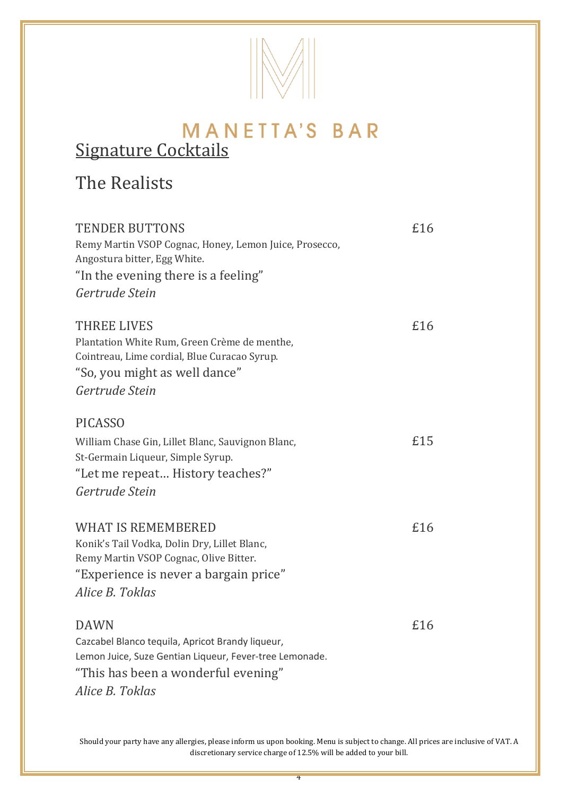

### MANETTA'S BAR Signature Cocktails

#### The Realists

| <b>TENDER BUTTONS</b><br>Remy Martin VSOP Cognac, Honey, Lemon Juice, Prosecco,<br>Angostura bitter, Egg White.<br>"In the evening there is a feeling"<br>Gertrude Stein             | £16 |
|--------------------------------------------------------------------------------------------------------------------------------------------------------------------------------------|-----|
| THREE LIVES<br>Plantation White Rum, Green Crème de menthe,<br>Cointreau, Lime cordial, Blue Curacao Syrup.<br>"So, you might as well dance"<br>Gertrude Stein                       | £16 |
| <b>PICASSO</b><br>William Chase Gin, Lillet Blanc, Sauvignon Blanc,<br>St-Germain Liqueur, Simple Syrup.<br>"Let me repeat History teaches?"<br>Gertrude Stein                       | £15 |
| <b>WHAT IS REMEMBERED</b><br>Konik's Tail Vodka, Dolin Dry, Lillet Blanc,<br>Remy Martin VSOP Cognac, Olive Bitter.<br>"Experience is never a bargain price"<br>Alice B. Toklas      | £16 |
| <b>DAWN</b><br>Cazcabel Blanco tequila, Apricot Brandy liqueur,<br>Lemon Juice, Suze Gentian Liqueur, Fever-tree Lemonade.<br>"This has been a wonderful evening"<br>Alice B. Toklas | £16 |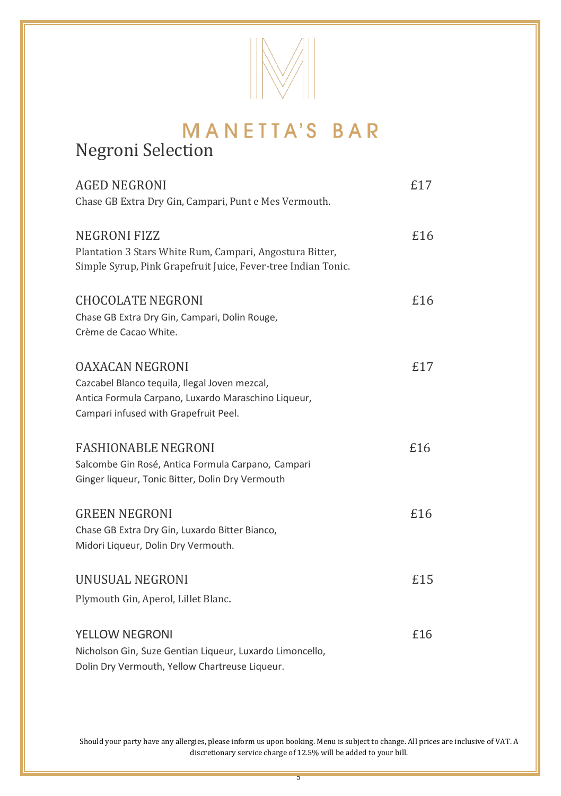

## Negroni Selection

| <b>AGED NEGRONI</b><br>Chase GB Extra Dry Gin, Campari, Punt e Mes Vermouth.                                                                                            | £17 |
|-------------------------------------------------------------------------------------------------------------------------------------------------------------------------|-----|
| <b>NEGRONI FIZZ</b><br>Plantation 3 Stars White Rum, Campari, Angostura Bitter,<br>Simple Syrup, Pink Grapefruit Juice, Fever-tree Indian Tonic.                        | £16 |
| <b>CHOCOLATE NEGRONI</b><br>Chase GB Extra Dry Gin, Campari, Dolin Rouge,<br>Crème de Cacao White.                                                                      | £16 |
| <b>OAXACAN NEGRONI</b><br>Cazcabel Blanco tequila, Ilegal Joven mezcal,<br>Antica Formula Carpano, Luxardo Maraschino Liqueur,<br>Campari infused with Grapefruit Peel. | £17 |
| <b>FASHIONABLE NEGRONI</b><br>Salcombe Gin Rosé, Antica Formula Carpano, Campari<br>Ginger liqueur, Tonic Bitter, Dolin Dry Vermouth                                    | £16 |
| <b>GREEN NEGRONI</b><br>Chase GB Extra Dry Gin, Luxardo Bitter Bianco,<br>Midori Liqueur, Dolin Dry Vermouth.                                                           | £16 |
| UNUSUAL NEGRONI<br>Plymouth Gin, Aperol, Lillet Blanc.                                                                                                                  | £15 |
| YELLOW NEGRONI<br>Nicholson Gin, Suze Gentian Liqueur, Luxardo Limoncello,<br>Dolin Dry Vermouth, Yellow Chartreuse Liqueur.                                            | £16 |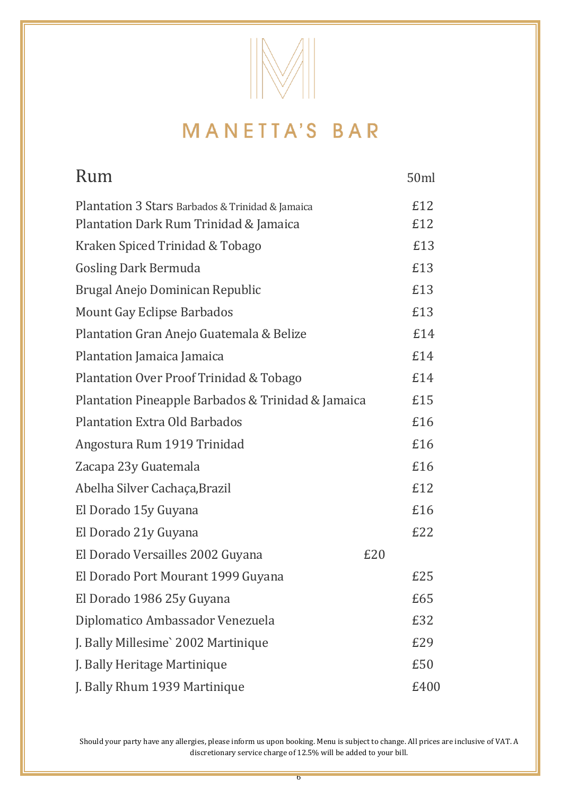

| Rum                                                | 50ml |
|----------------------------------------------------|------|
| Plantation 3 Stars Barbados & Trinidad & Jamaica   | £12  |
| Plantation Dark Rum Trinidad & Jamaica             | £12  |
| Kraken Spiced Trinidad & Tobago                    | £13  |
| <b>Gosling Dark Bermuda</b>                        | £13  |
| Brugal Anejo Dominican Republic                    | £13  |
| Mount Gay Eclipse Barbados                         | £13  |
| Plantation Gran Anejo Guatemala & Belize           | £14  |
| Plantation Jamaica Jamaica                         | £14  |
| Plantation Over Proof Trinidad & Tobago            | £14  |
| Plantation Pineapple Barbados & Trinidad & Jamaica | £15  |
| <b>Plantation Extra Old Barbados</b>               | £16  |
| Angostura Rum 1919 Trinidad                        | £16  |
| Zacapa 23y Guatemala                               | £16  |
| Abelha Silver Cachaça, Brazil                      | £12  |
| El Dorado 15y Guyana                               | £16  |
| El Dorado 21y Guyana                               | £22  |
| El Dorado Versailles 2002 Guyana<br>£20            |      |
| El Dorado Port Mourant 1999 Guyana                 | £25  |
| El Dorado 1986 25y Guyana                          | £65  |
| Diplomatico Ambassador Venezuela                   | £32  |
| J. Bally Millesime` 2002 Martinique                | £29  |
| J. Bally Heritage Martinique                       | £50  |
| J. Bally Rhum 1939 Martinique                      | £400 |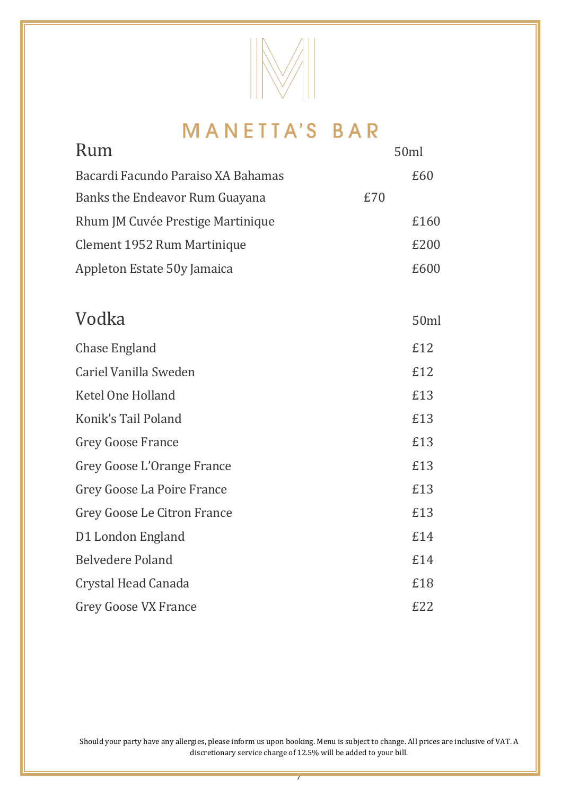

| Rum                                |     | 50ml |
|------------------------------------|-----|------|
| Bacardi Facundo Paraiso XA Bahamas |     | £60  |
| Banks the Endeavor Rum Guayana     | £70 |      |
| Rhum JM Cuvée Prestige Martinique  |     | £160 |
| Clement 1952 Rum Martinique        |     | £200 |
| Appleton Estate 50y Jamaica        |     | £600 |
|                                    |     |      |
| Vodka                              |     | 50ml |
| Chase England                      |     | £12  |
| Cariel Vanilla Sweden              |     | £12  |
| Ketel One Holland                  |     | £13  |
| Konik's Tail Poland                |     | £13  |
| <b>Grey Goose France</b>           |     | £13  |
| Grey Goose L'Orange France         |     | £13  |
| Grey Goose La Poire France         |     | £13  |
| Grey Goose Le Citron France        |     | £13  |
| D1 London England                  |     | £14  |
| <b>Belvedere Poland</b>            |     | £14  |
| Crystal Head Canada                |     | £18  |
| <b>Grey Goose VX France</b>        |     | E22  |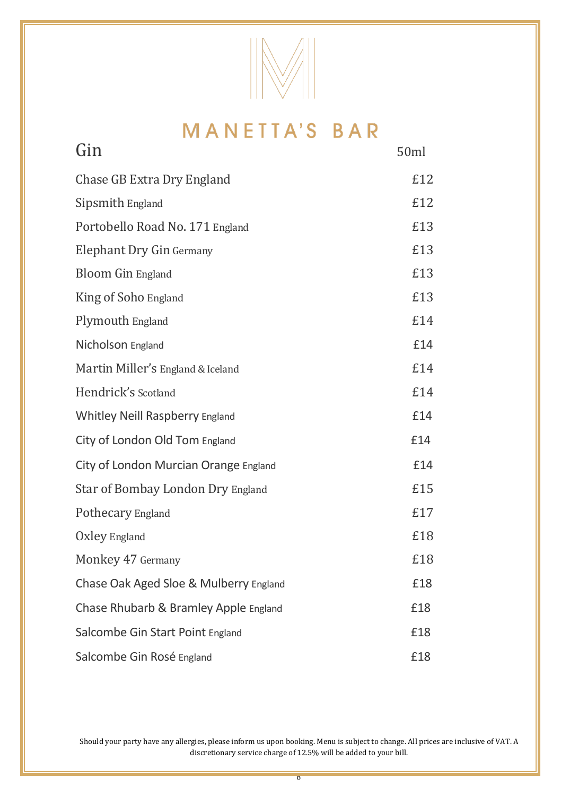

| Gin                                    | 50ml |
|----------------------------------------|------|
| Chase GB Extra Dry England             | £12  |
| Sipsmith England                       | £12  |
| Portobello Road No. 171 England        | £13  |
| Elephant Dry Gin Germany               | £13  |
| Bloom Gin England                      | £13  |
| King of Soho England                   | £13  |
| Plymouth England                       | £14  |
| Nicholson England                      | £14  |
| Martin Miller's England & Iceland      | £14  |
| Hendrick's Scotland                    | £14  |
| Whitley Neill Raspberry England        | £14  |
| City of London Old Tom England         | £14  |
| City of London Murcian Orange England  | £14  |
| Star of Bombay London Dry England      | £15  |
| Pothecary England                      | £17  |
| Oxley England                          | £18  |
| Monkey 47 Germany                      | £18  |
| Chase Oak Aged Sloe & Mulberry England | £18  |
| Chase Rhubarb & Bramley Apple England  | £18  |
| Salcombe Gin Start Point England       | £18  |
| Salcombe Gin Rosé England              | £18  |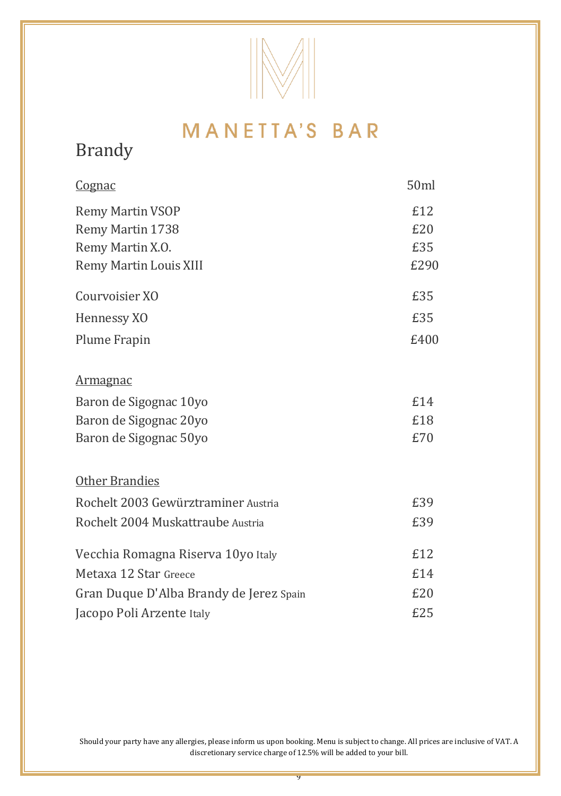

## Brandy

| <u>Cognac</u>                           | 50ml |
|-----------------------------------------|------|
| Remy Martin VSOP                        | £12  |
| Remy Martin 1738                        | £20  |
| Remy Martin X.O.                        | £35  |
| Remy Martin Louis XIII                  | £290 |
| Courvoisier XO                          | £35  |
| Hennessy XO                             | £35  |
| Plume Frapin                            | £400 |
| <u>Armagnac</u>                         |      |
| Baron de Sigognac 10yo                  | £14  |
| Baron de Sigognac 20yo                  | £18  |
| Baron de Sigognac 50yo                  | £70  |
| Other Brandies                          |      |
| Rochelt 2003 Gewürztraminer Austria     | £39  |
| Rochelt 2004 Muskattraube Austria       | £39  |
| Vecchia Romagna Riserva 10yo Italy      | £12  |
| Metaxa 12 Star Greece                   | £14  |
| Gran Duque D'Alba Brandy de Jerez Spain | £20  |
| Jacopo Poli Arzente Italy               | £25  |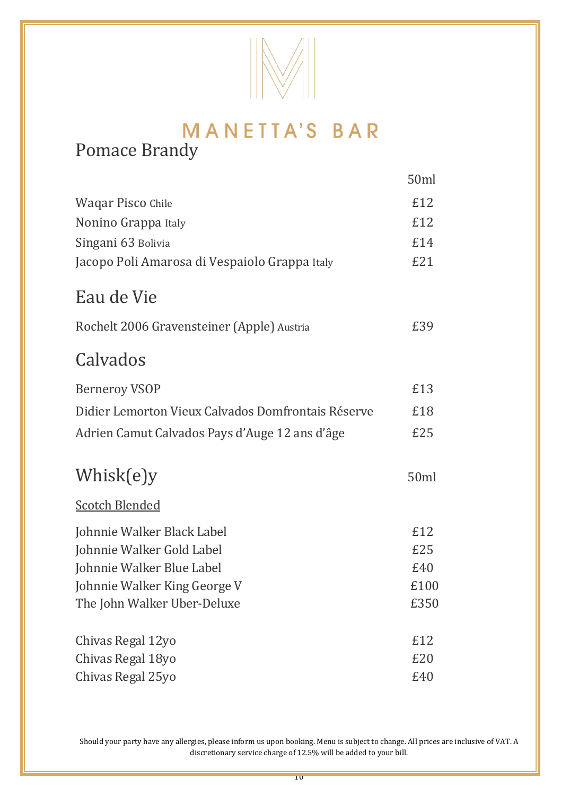

## MANETTA'S BAR Pomace Brandy

|                                                    | 50ml |
|----------------------------------------------------|------|
| Waqar Pisco Chile                                  | £12  |
| Nonino Grappa Italy                                | £12  |
| Singani 63 Bolivia                                 | £14  |
| Jacopo Poli Amarosa di Vespaiolo Grappa Italy      | £21  |
| Eau de Vie                                         |      |
| Rochelt 2006 Gravensteiner (Apple) Austria         | £39  |
| Calvados                                           |      |
| <b>Berneroy VSOP</b>                               | £13  |
| Didier Lemorton Vieux Calvados Domfrontais Réserve | £18  |
| Adrien Camut Calvados Pays d'Auge 12 ans d'âge     | £25  |
| Whisk(e)y                                          | 50ml |
| <b>Scotch Blended</b>                              |      |
| Johnnie Walker Black Label                         | £12  |
| Johnnie Walker Gold Label                          | £25  |
| Johnnie Walker Blue Label                          | £40  |
| Johnnie Walker King George V                       | £100 |
| The John Walker Uber-Deluxe                        | £350 |
| Chivas Regal 12yo                                  | £12  |
| Chivas Regal 18yo                                  | £20  |
| Chivas Regal 25yo                                  | £40  |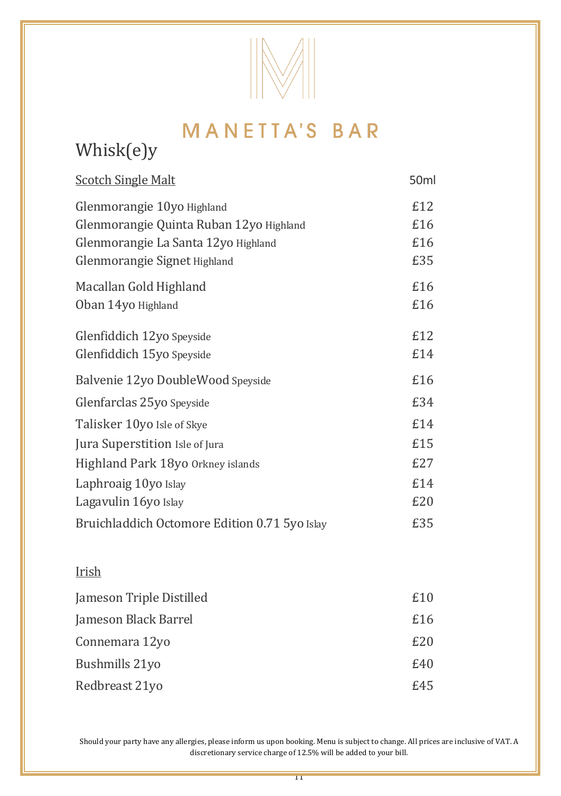

## Whisk(e)y

| <b>Scotch Single Malt</b>                     | 50 <sub>ml</sub> |
|-----------------------------------------------|------------------|
| Glenmorangie 10yo Highland                    | £12              |
| Glenmorangie Quinta Ruban 12yo Highland       | £16              |
| Glenmorangie La Santa 12yo Highland           | £16              |
| Glenmorangie Signet Highland                  | £35              |
| Macallan Gold Highland                        | £16              |
| Oban 14yo Highland                            | £16              |
| Glenfiddich 12yo Speyside                     | £12              |
| Glenfiddich 15yo Speyside                     | £14              |
| Balvenie 12yo DoubleWood Speyside             | £16              |
| Glenfarclas 25yo Speyside                     | £34              |
| Talisker 10yo Isle of Skye                    | £14              |
| Jura Superstition Isle of Jura                | £15              |
| Highland Park 18yo Orkney islands             | £27              |
| Laphroaig 10yo Islay                          | £14              |
| Lagavulin 16yo Islay                          | £20              |
| Bruichladdich Octomore Edition 0.71 5yo Islay | £35              |

#### Irish

| Jameson Triple Distilled | £10 |
|--------------------------|-----|
| Jameson Black Barrel     | £16 |
| Connemara 12yo           | E20 |
| Bushmills 21yo           | £40 |
| Redbreast 21vo           | £45 |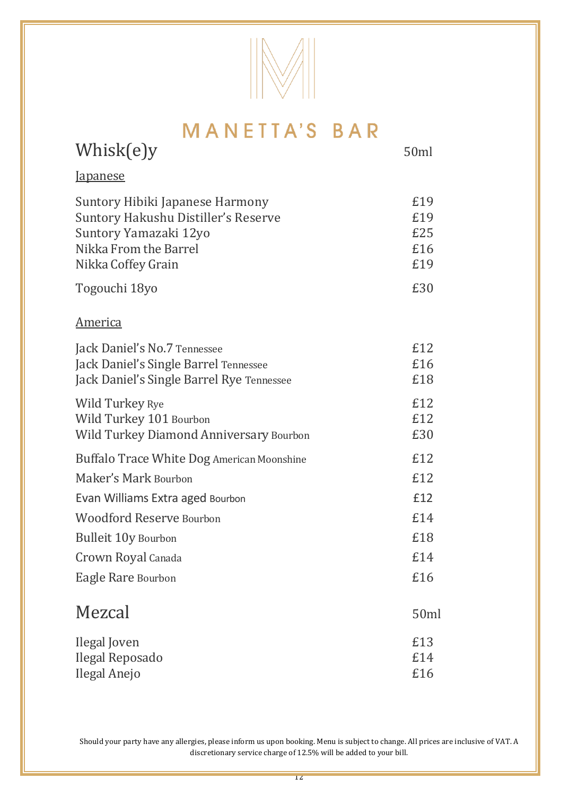

| Whisk(e)y                                                                                                                                      | 50ml                            |
|------------------------------------------------------------------------------------------------------------------------------------------------|---------------------------------|
| <b>Japanese</b>                                                                                                                                |                                 |
| Suntory Hibiki Japanese Harmony<br>Suntory Hakushu Distiller's Reserve<br>Suntory Yamazaki 12yo<br>Nikka From the Barrel<br>Nikka Coffey Grain | £19<br>£19<br>£25<br>£16<br>£19 |
| Togouchi 18yo                                                                                                                                  | £30                             |
| <b>America</b>                                                                                                                                 |                                 |
| Jack Daniel's No.7 Tennessee<br>Jack Daniel's Single Barrel Tennessee<br>Jack Daniel's Single Barrel Rye Tennessee                             | £12<br>£16<br>£18               |
| Wild Turkey Rye<br>Wild Turkey 101 Bourbon<br>Wild Turkey Diamond Anniversary Bourbon                                                          | £12<br>£12<br>£30               |
| Buffalo Trace White Dog American Moonshine                                                                                                     | £12                             |
| Maker's Mark Bourbon                                                                                                                           | £12<br>f12                      |
| Evan Williams Extra aged Bourbon<br><b>Woodford Reserve Bourbon</b>                                                                            | £14                             |
| <b>Bulleit 10y Bourbon</b>                                                                                                                     | £18                             |
| Crown Royal Canada                                                                                                                             | £14                             |
| Eagle Rare Bourbon                                                                                                                             | £16                             |
| Mezcal                                                                                                                                         | 50ml                            |
| Ilegal Joven<br>Ilegal Reposado<br>Ilegal Anejo                                                                                                | £13<br>£14<br>£16               |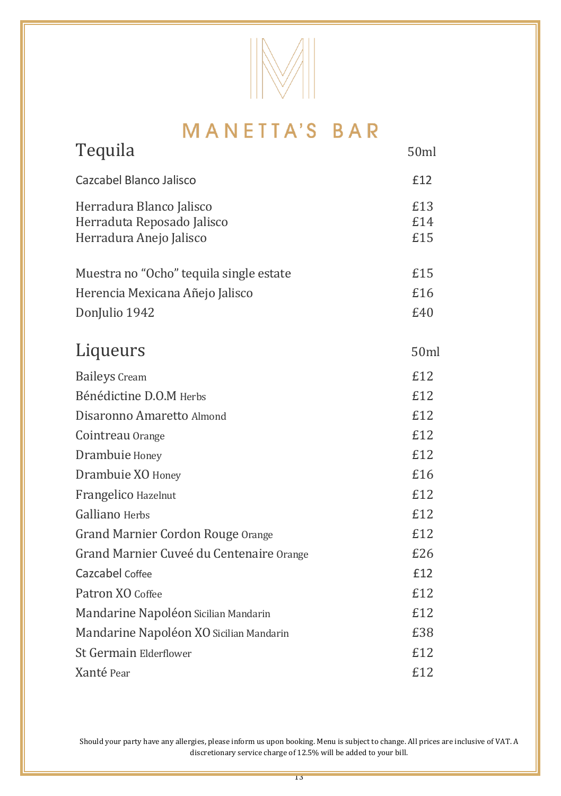

| Tequila                                                                           | 50ml              |
|-----------------------------------------------------------------------------------|-------------------|
| Cazcabel Blanco Jalisco                                                           | £12               |
| Herradura Blanco Jalisco<br>Herraduta Reposado Jalisco<br>Herradura Anejo Jalisco | £13<br>£14<br>£15 |
| Muestra no "Ocho" tequila single estate                                           | £15               |
| Herencia Mexicana Añejo Jalisco                                                   | £16               |
| DonJulio 1942                                                                     | £40               |
| Liqueurs                                                                          | 50ml              |
| <b>Baileys</b> Cream                                                              | £12               |
| Bénédictine D.O.M Herbs                                                           | £12               |
| Disaronno Amaretto Almond                                                         | £12               |
| Cointreau Orange                                                                  | £12               |
| Drambuie Honey                                                                    | £12               |
| Drambuie XO Honey                                                                 | £16               |
| Frangelico Hazelnut                                                               | £12               |
| Galliano Herbs                                                                    | £12               |
| Grand Marnier Cordon Rouge Orange                                                 | £12               |
| Grand Marnier Cuveé du Centenaire Orange                                          | £26               |
| Cazcabel Coffee                                                                   | £12               |
| Patron XO Coffee                                                                  | £12               |
| Mandarine Napoléon Sicilian Mandarin                                              | £12               |
| Mandarine Napoléon XO Sicilian Mandarin                                           | £38               |
| St Germain Elderflower                                                            | £12               |
| Xanté Pear                                                                        | £12               |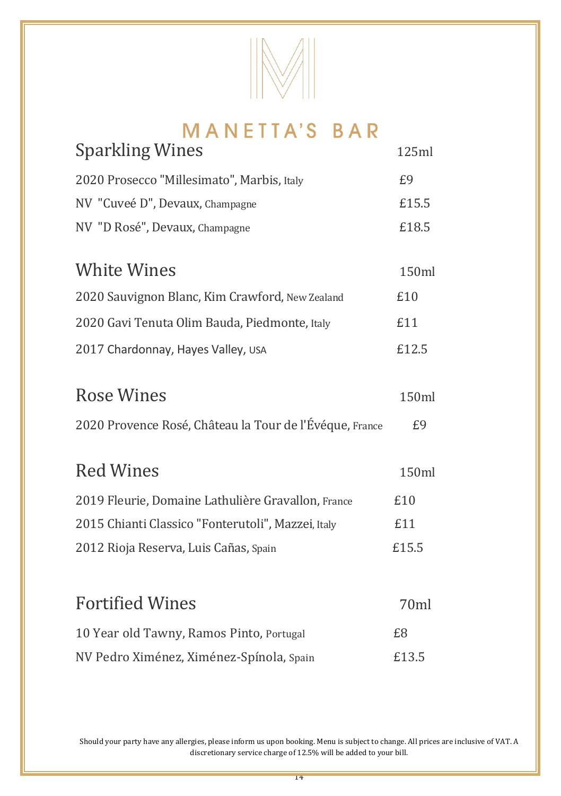

| <b>Sparkling Wines</b>                          | 125ml |
|-------------------------------------------------|-------|
| 2020 Prosecco "Millesimato", Marbis, Italy      | £9    |
| NV "Cuveé D", Devaux, Champagne                 | £15.5 |
| NV "D Rosé", Devaux, Champagne                  | £18.5 |
|                                                 |       |
| White Wines                                     | 150ml |
| 2020 Sauvignon Blanc, Kim Crawford, New Zealand | £10   |
| 2020 Gavi Tenuta Olim Bauda, Piedmonte, Italy   | £11   |
| 2017 Chardonnay, Hayes Valley, USA              | £12.5 |
|                                                 |       |

| <b>Rose Wines</b> | 150ml |
|-------------------|-------|
|                   |       |

2020 Provence Rosé, Château la Tour de l'Évéque, France £9

| Red Wines                                          | 150ml |
|----------------------------------------------------|-------|
| 2019 Fleurie, Domaine Lathulière Gravallon, France | £10   |
| 2015 Chianti Classico "Fonterutoli", Mazzei, Italy | £11   |
| 2012 Rioja Reserva, Luis Cañas, Spain              | £15.5 |

| <b>Fortified Wines</b>                   | 70ml  |
|------------------------------------------|-------|
| 10 Year old Tawny, Ramos Pinto, Portugal | £8    |
| NV Pedro Ximénez, Ximénez-Spínola, Spain | £13.5 |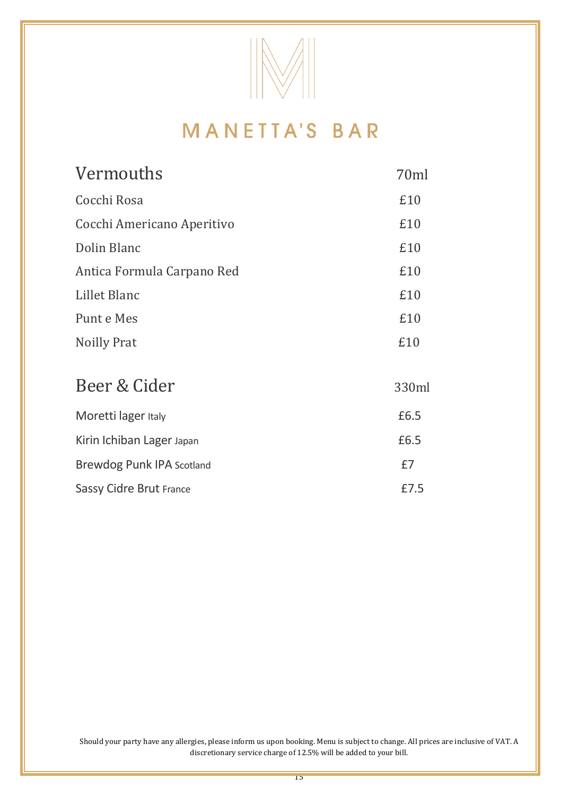

| Vermouths                  | 70ml  |
|----------------------------|-------|
| Cocchi Rosa                | £10   |
| Cocchi Americano Aperitivo | £10   |
| Dolin Blanc                | £10   |
| Antica Formula Carpano Red | £10   |
| Lillet Blanc               | £10   |
| Punt e Mes                 | £10   |
| Noilly Prat                | £10   |
|                            |       |
| Beer & Cider               | 330ml |
| Moretti lager Italy        | £6.5  |
| Kirin Ichiban Lager Japan  | £6.5  |
| Brewdog Punk IPA Scotland  | £7    |
| Sassy Cidre Brut France    | £7.5  |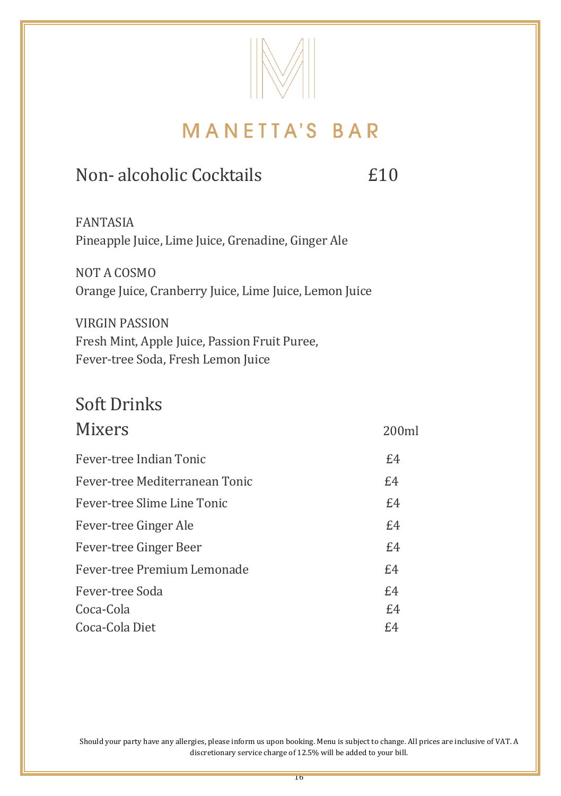

## Non- alcoholic Cocktails **E10**

FANTASIA Pineapple Juice, Lime Juice, Grenadine, Ginger Ale

NOT A COSMO Orange Juice, Cranberry Juice, Lime Juice, Lemon Juice

VIRGIN PASSION Fresh Mint, Apple Juice, Passion Fruit Puree, Fever-tree Soda, Fresh Lemon Juice

# Soft Drinks

| Mixers                         | 200ml |
|--------------------------------|-------|
| Fever-tree Indian Tonic        | £4    |
| Fever-tree Mediterranean Tonic | £4    |
| Fever-tree Slime Line Tonic    | E4    |
| Fever-tree Ginger Ale          | E4    |
| Fever-tree Ginger Beer         | £4    |
| Fever-tree Premium Lemonade    | E4    |
| Fever-tree Soda                | E4    |
| Coca-Cola                      | E4    |
| Coca-Cola Diet                 | £4    |